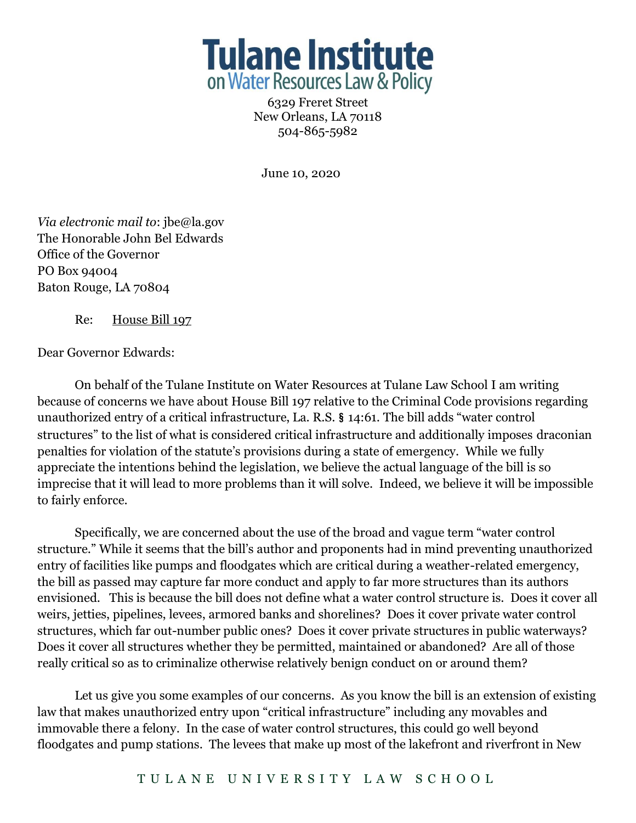

6329 Freret Street New Orleans, LA 70118 504-865-5982

June 10, 2020

*Via electronic mail to*: jbe@la.gov The Honorable John Bel Edwards Office of the Governor PO Box 94004 Baton Rouge, LA 70804

Re: House Bill 197

Dear Governor Edwards:

On behalf of the Tulane Institute on Water Resources at Tulane Law School I am writing because of concerns we have about House Bill 197 relative to the Criminal Code provisions regarding unauthorized entry of a critical infrastructure, La. R.S. § 14:61. The bill adds "water control structures" to the list of what is considered critical infrastructure and additionally imposes draconian penalties for violation of the statute's provisions during a state of emergency. While we fully appreciate the intentions behind the legislation, we believe the actual language of the bill is so imprecise that it will lead to more problems than it will solve. Indeed, we believe it will be impossible to fairly enforce.

Specifically, we are concerned about the use of the broad and vague term "water control structure." While it seems that the bill's author and proponents had in mind preventing unauthorized entry of facilities like pumps and floodgates which are critical during a weather-related emergency, the bill as passed may capture far more conduct and apply to far more structures than its authors envisioned. This is because the bill does not define what a water control structure is. Does it cover all weirs, jetties, pipelines, levees, armored banks and shorelines? Does it cover private water control structures, which far out-number public ones? Does it cover private structures in public waterways? Does it cover all structures whether they be permitted, maintained or abandoned? Are all of those really critical so as to criminalize otherwise relatively benign conduct on or around them?

Let us give you some examples of our concerns. As you know the bill is an extension of existing law that makes unauthorized entry upon "critical infrastructure" including any movables and immovable there a felony. In the case of water control structures, this could go well beyond floodgates and pump stations. The levees that make up most of the lakefront and riverfront in New